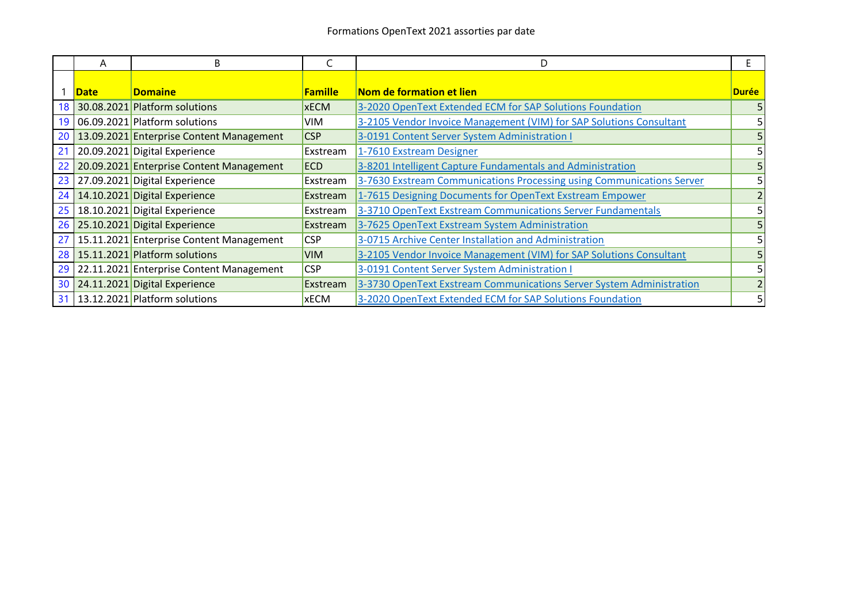|    | A           | B                                        |                | D                                                                     |              |
|----|-------------|------------------------------------------|----------------|-----------------------------------------------------------------------|--------------|
|    | <b>Date</b> | <b>Domaine</b>                           | <b>Famille</b> | Nom de formation et lien                                              | <b>Durée</b> |
| 18 |             | 30.08.2021 Platform solutions            | <b>xECM</b>    | 3-2020 OpenText Extended ECM for SAP Solutions Foundation             |              |
| 19 |             | 06.09.2021 Platform solutions            | <b>VIM</b>     | 3-2105 Vendor Invoice Management (VIM) for SAP Solutions Consultant   |              |
| 20 |             | 13.09.2021 Enterprise Content Management | <b>CSP</b>     | 3-0191 Content Server System Administration I                         |              |
| 21 |             | 20.09.2021 Digital Experience            | Exstream       | 1-7610 Exstream Designer                                              |              |
| 22 |             | 20.09.2021 Enterprise Content Management | <b>ECD</b>     | 3-8201 Intelligent Capture Fundamentals and Administration            |              |
| 23 |             | 27.09.2021 Digital Experience            | Exstream       | 3-7630 Exstream Communications Processing using Communications Server |              |
| 24 |             | 14.10.2021 Digital Experience            | Exstream       | 1-7615 Designing Documents for OpenText Exstream Empower              |              |
| 25 |             | 18.10.2021 Digital Experience            | Exstream       | 3-3710 OpenText Exstream Communications Server Fundamentals           |              |
|    |             | 26 25.10.2021 Digital Experience         | Exstream       | 3-7625 OpenText Exstream System Administration                        |              |
| 27 |             | 15.11.2021 Enterprise Content Management | <b>CSP</b>     | 3-0715 Archive Center Installation and Administration                 |              |
|    |             | 28 15.11.2021 Platform solutions         | <b>VIM</b>     | 3-2105 Vendor Invoice Management (VIM) for SAP Solutions Consultant   |              |
| 29 |             | 22.11.2021 Enterprise Content Management | <b>CSP</b>     | 3-0191 Content Server System Administration I                         |              |
|    |             | 30 24.11.2021 Digital Experience         | Exstream       | 3-3730 OpenText Exstream Communications Server System Administration  |              |
| 31 |             | 13.12.2021 Platform solutions            | <b>xECM</b>    | 3-2020 OpenText Extended ECM for SAP Solutions Foundation             |              |